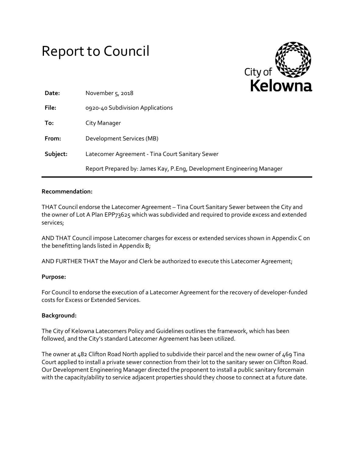# Report to Council



| Date:    | November $5, 2018$                                                    |
|----------|-----------------------------------------------------------------------|
| File:    | 0920-40 Subdivision Applications                                      |
| To:      | City Manager                                                          |
| From:    | Development Services (MB)                                             |
| Subject: | Latecomer Agreement - Tina Court Sanitary Sewer                       |
|          | Report Prepared by: James Kay, P.Eng, Development Engineering Manager |

## **Recommendation:**

THAT Council endorse the Latecomer Agreement – Tina Court Sanitary Sewer between the City and the owner of Lot A Plan EPP73625 which was subdivided and required to provide excess and extended services;

AND THAT Council impose Latecomer charges for excess or extended services shown in Appendix C on the benefitting lands listed in Appendix B;

AND FURTHER THAT the Mayor and Clerk be authorized to execute this Latecomer Agreement;

#### **Purpose:**

For Council to endorse the execution of a Latecomer Agreement for the recovery of developer-funded costs for Excess or Extended Services.

## **Background:**

The City of Kelowna Latecomers Policy and Guidelines outlines the framework, which has been followed, and the City's standard Latecomer Agreement has been utilized.

The owner at 482 Clifton Road North applied to subdivide their parcel and the new owner of 469 Tina Court applied to install a private sewer connection from their lot to the sanitary sewer on Clifton Road. Our Development Engineering Manager directed the proponent to install a public sanitary forcemain with the capacity/ability to service adjacent properties should they choose to connect at a future date.